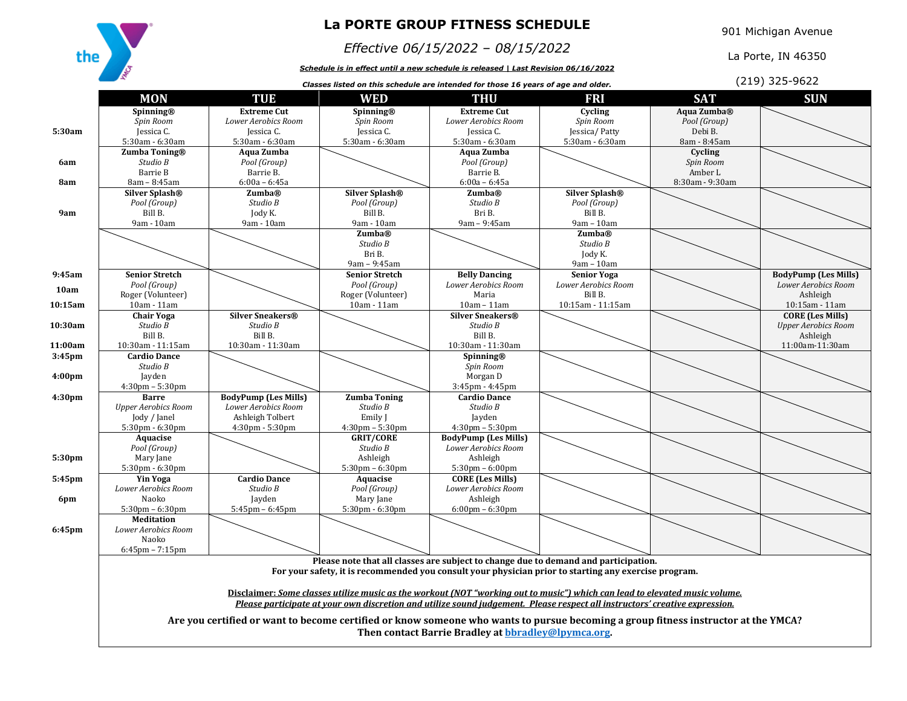

## **La PORTE GROUP FITNESS SCHEDULE**

## *Effective 06/15/2022 – 08/15/2022*

*Schedule is in effect until a new schedule is released | Last Revision 06/16/2022*

901 Michigan Avenue

La Porte, IN 46350

|                    | R<br>(219) 325-9622<br>Classes listed on this schedule are intended for those 16 years of age and older.                                                                                     |                                                                                                                                                                                                                                                            |                                                       |                                                     |                                           |                 |                                                    |  |
|--------------------|----------------------------------------------------------------------------------------------------------------------------------------------------------------------------------------------|------------------------------------------------------------------------------------------------------------------------------------------------------------------------------------------------------------------------------------------------------------|-------------------------------------------------------|-----------------------------------------------------|-------------------------------------------|-----------------|----------------------------------------------------|--|
|                    | <b>MON</b>                                                                                                                                                                                   | TUE                                                                                                                                                                                                                                                        | <b>WED</b>                                            | <b>THU</b>                                          | FRI                                       | <b>SAT</b>      | <b>SUN</b>                                         |  |
|                    | Spinning®                                                                                                                                                                                    | <b>Extreme Cut</b>                                                                                                                                                                                                                                         | Spinning®                                             | <b>Extreme Cut</b>                                  | Cycling                                   | Aqua Zumba®     |                                                    |  |
|                    | Spin Room                                                                                                                                                                                    | Lower Aerobics Room                                                                                                                                                                                                                                        | Spin Room                                             | Lower Aerobics Room                                 | Spin Room                                 | Pool (Group)    |                                                    |  |
| 5:30am             | Jessica C.                                                                                                                                                                                   | Jessica C.                                                                                                                                                                                                                                                 | Jessica C.                                            | Jessica C.                                          | Jessica/Patty                             | Debi B.         |                                                    |  |
|                    | 5:30am - 6:30am                                                                                                                                                                              | 5:30am - 6:30am                                                                                                                                                                                                                                            | 5:30am - 6:30am                                       | 5:30am - 6:30am                                     | 5:30am - 6:30am                           | 8am - 8:45am    |                                                    |  |
|                    | Zumba Toning®                                                                                                                                                                                | Aqua Zumba                                                                                                                                                                                                                                                 |                                                       | Aqua Zumba                                          |                                           | Cycling         |                                                    |  |
| 6am                | Studio B                                                                                                                                                                                     | Pool (Group)                                                                                                                                                                                                                                               |                                                       | Pool (Group)                                        |                                           | Spin Room       |                                                    |  |
|                    | Barrie B                                                                                                                                                                                     | Barrie B.                                                                                                                                                                                                                                                  |                                                       | Barrie B.                                           |                                           | Amber L         |                                                    |  |
| 8am                | 8am - 8:45am                                                                                                                                                                                 | $6:00a - 6:45a$                                                                                                                                                                                                                                            |                                                       | $6:00a - 6:45a$                                     |                                           | 8:30am - 9:30am |                                                    |  |
|                    | <b>Silver Splash®</b>                                                                                                                                                                        | Zumba®                                                                                                                                                                                                                                                     | <b>Silver Splash®</b>                                 | <b>Zumba®</b>                                       | <b>Silver Splash®</b>                     |                 |                                                    |  |
|                    | Pool (Group)                                                                                                                                                                                 | Studio B                                                                                                                                                                                                                                                   | Pool (Group)                                          | Studio B                                            | Pool (Group)                              |                 |                                                    |  |
| 9am                | Bill B.                                                                                                                                                                                      | Jody K.                                                                                                                                                                                                                                                    | Bill B.                                               | Bri B.                                              | Bill B.                                   |                 |                                                    |  |
|                    | 9am - 10am                                                                                                                                                                                   | 9am - 10am                                                                                                                                                                                                                                                 | 9am - 10am                                            | 9am - 9:45am                                        | 9am - 10am                                |                 |                                                    |  |
|                    |                                                                                                                                                                                              |                                                                                                                                                                                                                                                            | <b>Zumba®</b>                                         |                                                     | <b>Zumba®</b>                             |                 |                                                    |  |
|                    |                                                                                                                                                                                              |                                                                                                                                                                                                                                                            | Studio B                                              |                                                     | Studio B                                  |                 |                                                    |  |
|                    |                                                                                                                                                                                              |                                                                                                                                                                                                                                                            | Bri B.                                                |                                                     | Jody K.                                   |                 |                                                    |  |
|                    |                                                                                                                                                                                              |                                                                                                                                                                                                                                                            | 9am - 9:45am                                          |                                                     | $9am - 10am$                              |                 |                                                    |  |
| 9:45am             | <b>Senior Stretch</b><br>Pool (Group)                                                                                                                                                        |                                                                                                                                                                                                                                                            | <b>Senior Stretch</b><br>Pool (Group)                 | <b>Belly Dancing</b><br>Lower Aerobics Room         | <b>Senior Yoga</b><br>Lower Aerobics Room |                 | <b>BodyPump (Les Mills)</b><br>Lower Aerobics Room |  |
| 10am               | Roger (Volunteer)                                                                                                                                                                            |                                                                                                                                                                                                                                                            | Roger (Volunteer)                                     | Maria                                               | Bill B.                                   |                 | Ashleigh                                           |  |
| 10:15am            | 10am - 11am                                                                                                                                                                                  |                                                                                                                                                                                                                                                            | 10am - 11am                                           | $10am - 11am$                                       | 10:15am - 11:15am                         |                 | 10:15am - 11am                                     |  |
|                    | <b>Chair Yoga</b>                                                                                                                                                                            | <b>Silver Sneakers®</b>                                                                                                                                                                                                                                    |                                                       | <b>Silver Sneakers®</b>                             |                                           |                 | <b>CORE (Les Mills)</b>                            |  |
| 10:30am            | Studio B                                                                                                                                                                                     | Studio B                                                                                                                                                                                                                                                   |                                                       | Studio B                                            |                                           |                 | <b>Upper Aerobics Room</b>                         |  |
|                    | Bill B.                                                                                                                                                                                      | Bill B.                                                                                                                                                                                                                                                    |                                                       | Bill B.                                             |                                           |                 | Ashleigh                                           |  |
| 11:00am            | 10:30am - 11:15am                                                                                                                                                                            | 10:30am - 11:30am                                                                                                                                                                                                                                          |                                                       | 10:30am - 11:30am                                   |                                           |                 | 11:00am-11:30am                                    |  |
| 3:45 <sub>pm</sub> | <b>Cardio Dance</b>                                                                                                                                                                          |                                                                                                                                                                                                                                                            |                                                       | Spinning®                                           |                                           |                 |                                                    |  |
|                    | Studio B                                                                                                                                                                                     |                                                                                                                                                                                                                                                            |                                                       | Spin Room                                           |                                           |                 |                                                    |  |
| 4:00 <sub>pm</sub> | Jayden                                                                                                                                                                                       |                                                                                                                                                                                                                                                            |                                                       | Morgan D                                            |                                           |                 |                                                    |  |
|                    | $4:30 \text{pm} - 5:30 \text{pm}$                                                                                                                                                            |                                                                                                                                                                                                                                                            |                                                       | 3:45pm - 4:45pm                                     |                                           |                 |                                                    |  |
| 4:30 <sub>pm</sub> | <b>Barre</b>                                                                                                                                                                                 | <b>BodyPump (Les Mills)</b>                                                                                                                                                                                                                                | <b>Zumba Toning</b>                                   | <b>Cardio Dance</b>                                 |                                           |                 |                                                    |  |
|                    | <b>Upper Aerobics Room</b>                                                                                                                                                                   | Lower Aerobics Room                                                                                                                                                                                                                                        | Studio B                                              | Studio B                                            |                                           |                 |                                                    |  |
|                    | Jody / Janel                                                                                                                                                                                 | Ashleigh Tolbert                                                                                                                                                                                                                                           | Emily J                                               | Jayden                                              |                                           |                 |                                                    |  |
|                    | $5:30$ pm - $6:30$ pm<br>Aquacise                                                                                                                                                            | $4:30 \text{pm} - 5:30 \text{pm}$                                                                                                                                                                                                                          | $4:30 \text{pm} - 5:30 \text{pm}$<br><b>GRIT/CORE</b> | $4:30$ pm $-5:30$ pm<br><b>BodyPump (Les Mills)</b> |                                           |                 |                                                    |  |
|                    | Pool (Group)                                                                                                                                                                                 |                                                                                                                                                                                                                                                            | Studio B                                              | Lower Aerobics Room                                 |                                           |                 |                                                    |  |
| 5:30pm             | Mary Jane                                                                                                                                                                                    |                                                                                                                                                                                                                                                            | Ashleigh                                              | Ashleigh                                            |                                           |                 |                                                    |  |
|                    | 5:30pm - 6:30pm                                                                                                                                                                              |                                                                                                                                                                                                                                                            | $5:30$ pm – $6:30$ pm                                 | $5:30 \text{pm} - 6:00 \text{pm}$                   |                                           |                 |                                                    |  |
| 5:45pm             | <b>Yin Yoga</b>                                                                                                                                                                              | <b>Cardio Dance</b>                                                                                                                                                                                                                                        | Aquacise                                              | <b>CORE (Les Mills)</b>                             |                                           |                 |                                                    |  |
|                    | Lower Aerobics Room                                                                                                                                                                          | Studio B                                                                                                                                                                                                                                                   | Pool (Group)                                          | <b>Lower Aerobics Room</b>                          |                                           |                 |                                                    |  |
| 6pm                | Naoko                                                                                                                                                                                        | Jayden                                                                                                                                                                                                                                                     | Mary Jane                                             | Ashleigh                                            |                                           |                 |                                                    |  |
|                    | $5:30$ pm – $6:30$ pm                                                                                                                                                                        | $5:45$ pm – $6:45$ pm                                                                                                                                                                                                                                      | $5:30$ pm - $6:30$ pm                                 | $6:00 \text{pm} - 6:30 \text{pm}$                   |                                           |                 |                                                    |  |
|                    | <b>Meditation</b>                                                                                                                                                                            |                                                                                                                                                                                                                                                            |                                                       |                                                     |                                           |                 |                                                    |  |
| 6:45pm             | Lower Aerobics Room                                                                                                                                                                          |                                                                                                                                                                                                                                                            |                                                       |                                                     |                                           |                 |                                                    |  |
|                    | Naoko                                                                                                                                                                                        |                                                                                                                                                                                                                                                            |                                                       |                                                     |                                           |                 |                                                    |  |
|                    | $6:45$ pm – $7:15$ pm                                                                                                                                                                        |                                                                                                                                                                                                                                                            |                                                       |                                                     |                                           |                 |                                                    |  |
|                    | Please note that all classes are subject to change due to demand and participation.<br>For your safety, it is recommended you consult your physician prior to starting any exercise program. |                                                                                                                                                                                                                                                            |                                                       |                                                     |                                           |                 |                                                    |  |
|                    |                                                                                                                                                                                              | Disclaimer: Some classes utilize music as the workout (NOT "working out to music") which can lead to elevated music volume.<br>Please participate at your own discretion and utilize sound judgement. Please respect all instructors' creative expression. |                                                       |                                                     |                                           |                 |                                                    |  |
|                    |                                                                                                                                                                                              |                                                                                                                                                                                                                                                            |                                                       |                                                     |                                           |                 |                                                    |  |
|                    |                                                                                                                                                                                              |                                                                                                                                                                                                                                                            |                                                       |                                                     |                                           |                 |                                                    |  |
|                    | Are you certified or want to become certified or know someone who wants to pursue becoming a group fitness instructor at the YMCA?                                                           |                                                                                                                                                                                                                                                            |                                                       |                                                     |                                           |                 |                                                    |  |
|                    | Then contact Barrie Bradley at <b>bbradley@lpymca.org</b> .                                                                                                                                  |                                                                                                                                                                                                                                                            |                                                       |                                                     |                                           |                 |                                                    |  |
|                    |                                                                                                                                                                                              |                                                                                                                                                                                                                                                            |                                                       |                                                     |                                           |                 |                                                    |  |